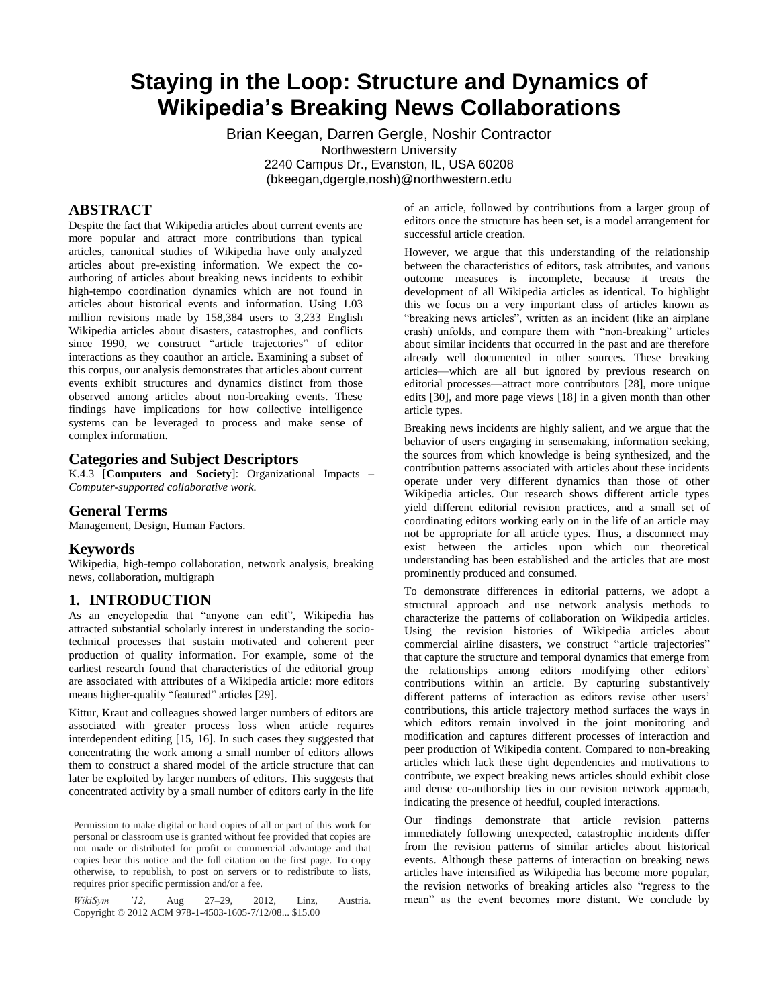# **Staying in the Loop: Structure and Dynamics of Wikipedia's Breaking News Collaborations**

Brian Keegan, Darren Gergle, Noshir Contractor Northwestern University 2240 Campus Dr., Evanston, IL, USA 60208 (bkeegan,dgergle,nosh)@northwestern.edu

# **ABSTRACT**

Despite the fact that Wikipedia articles about current events are more popular and attract more contributions than typical articles, canonical studies of Wikipedia have only analyzed articles about pre-existing information. We expect the coauthoring of articles about breaking news incidents to exhibit high-tempo coordination dynamics which are not found in articles about historical events and information. Using 1.03 million revisions made by 158,384 users to 3,233 English Wikipedia articles about disasters, catastrophes, and conflicts since 1990, we construct "article trajectories" of editor interactions as they coauthor an article. Examining a subset of this corpus, our analysis demonstrates that articles about current events exhibit structures and dynamics distinct from those observed among articles about non-breaking events. These findings have implications for how collective intelligence systems can be leveraged to process and make sense of complex information.

## **Categories and Subject Descriptors**

K.4.3 [**Computers and Society**]: Organizational Impacts – *Computer-supported collaborative work.*

## **General Terms**

Management, Design, Human Factors.

## **Keywords**

Wikipedia, high-tempo collaboration, network analysis, breaking news, collaboration, multigraph

## **1. INTRODUCTION**

As an encyclopedia that "anyone can edit", Wikipedia has attracted substantial scholarly interest in understanding the sociotechnical processes that sustain motivated and coherent peer production of quality information. For example, some of the earliest research found that characteristics of the editorial group are associated with attributes of a Wikipedia article: more editors means higher-quality "featured" articles [29].

Kittur, Kraut and colleagues showed larger numbers of editors are associated with greater process loss when article requires interdependent editing [15, 16]. In such cases they suggested that concentrating the work among a small number of editors allows them to construct a shared model of the article structure that can later be exploited by larger numbers of editors. This suggests that concentrated activity by a small number of editors early in the life

Permission to make digital or hard copies of all or part of this work for personal or classroom use is granted without fee provided that copies are not made or distributed for profit or commercial advantage and that copies bear this notice and the full citation on the first page. To copy otherwise, to republish, to post on servers or to redistribute to lists, requires prior specific permission and/or a fee.

*WikiSym '12*, Aug 27–29, 2012, Linz, Austria. Copyright © 2012 ACM 978-1-4503-1605-7/12/08... \$15.00

of an article, followed by contributions from a larger group of editors once the structure has been set, is a model arrangement for successful article creation.

However, we argue that this understanding of the relationship between the characteristics of editors, task attributes, and various outcome measures is incomplete, because it treats the development of all Wikipedia articles as identical. To highlight this we focus on a very important class of articles known as "breaking news articles", written as an incident (like an airplane crash) unfolds, and compare them with "non-breaking" articles about similar incidents that occurred in the past and are therefore already well documented in other sources. These breaking articles—which are all but ignored by previous research on editorial processes—attract more contributors [28], more unique edits [30], and more page views [18] in a given month than other article types.

Breaking news incidents are highly salient, and we argue that the behavior of users engaging in sensemaking, information seeking, the sources from which knowledge is being synthesized, and the contribution patterns associated with articles about these incidents operate under very different dynamics than those of other Wikipedia articles. Our research shows different article types yield different editorial revision practices, and a small set of coordinating editors working early on in the life of an article may not be appropriate for all article types. Thus, a disconnect may exist between the articles upon which our theoretical understanding has been established and the articles that are most prominently produced and consumed.

To demonstrate differences in editorial patterns, we adopt a structural approach and use network analysis methods to characterize the patterns of collaboration on Wikipedia articles. Using the revision histories of Wikipedia articles about commercial airline disasters, we construct "article trajectories" that capture the structure and temporal dynamics that emerge from the relationships among editors modifying other editors' contributions within an article. By capturing substantively different patterns of interaction as editors revise other users' contributions, this article trajectory method surfaces the ways in which editors remain involved in the joint monitoring and modification and captures different processes of interaction and peer production of Wikipedia content. Compared to non-breaking articles which lack these tight dependencies and motivations to contribute, we expect breaking news articles should exhibit close and dense co-authorship ties in our revision network approach, indicating the presence of heedful, coupled interactions.

Our findings demonstrate that article revision patterns immediately following unexpected, catastrophic incidents differ from the revision patterns of similar articles about historical events. Although these patterns of interaction on breaking news articles have intensified as Wikipedia has become more popular, the revision networks of breaking articles also "regress to the mean" as the event becomes more distant. We conclude by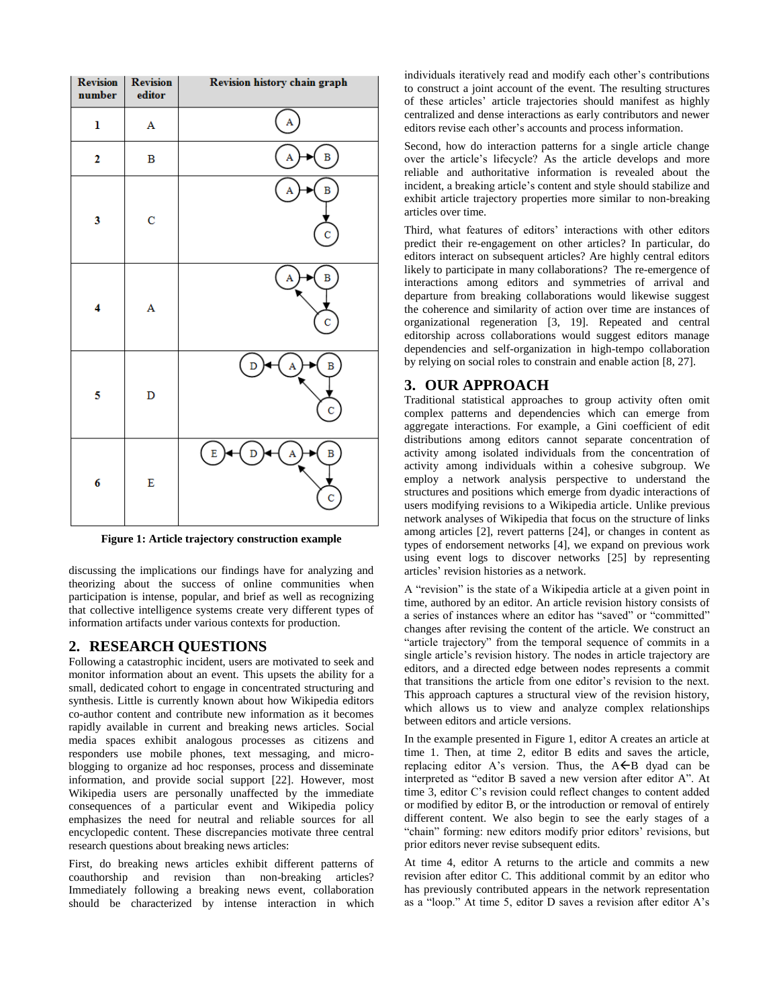

**Figure 1: Article trajectory construction example**

discussing the implications our findings have for analyzing and theorizing about the success of online communities when participation is intense, popular, and brief as well as recognizing that collective intelligence systems create very different types of information artifacts under various contexts for production.

## **2. RESEARCH QUESTIONS**

Following a catastrophic incident, users are motivated to seek and monitor information about an event. This upsets the ability for a small, dedicated cohort to engage in concentrated structuring and synthesis. Little is currently known about how Wikipedia editors co-author content and contribute new information as it becomes rapidly available in current and breaking news articles. Social media spaces exhibit analogous processes as citizens and responders use mobile phones, text messaging, and microblogging to organize ad hoc responses, process and disseminate information, and provide social support [22]. However, most Wikipedia users are personally unaffected by the immediate consequences of a particular event and Wikipedia policy emphasizes the need for neutral and reliable sources for all encyclopedic content. These discrepancies motivate three central research questions about breaking news articles:

First, do breaking news articles exhibit different patterns of coauthorship and revision than non-breaking articles? Immediately following a breaking news event, collaboration should be characterized by intense interaction in which individuals iteratively read and modify each other's contributions to construct a joint account of the event. The resulting structures of these articles' article trajectories should manifest as highly centralized and dense interactions as early contributors and newer editors revise each other's accounts and process information.

Second, how do interaction patterns for a single article change over the article's lifecycle? As the article develops and more reliable and authoritative information is revealed about the incident, a breaking article's content and style should stabilize and exhibit article trajectory properties more similar to non-breaking articles over time.

Third, what features of editors' interactions with other editors predict their re-engagement on other articles? In particular, do editors interact on subsequent articles? Are highly central editors likely to participate in many collaborations? The re-emergence of interactions among editors and symmetries of arrival and departure from breaking collaborations would likewise suggest the coherence and similarity of action over time are instances of organizational regeneration [3, 19]. Repeated and central editorship across collaborations would suggest editors manage dependencies and self-organization in high-tempo collaboration by relying on social roles to constrain and enable action [8, 27].

# **3. OUR APPROACH**

Traditional statistical approaches to group activity often omit complex patterns and dependencies which can emerge from aggregate interactions. For example, a Gini coefficient of edit distributions among editors cannot separate concentration of activity among isolated individuals from the concentration of activity among individuals within a cohesive subgroup. We employ a network analysis perspective to understand the structures and positions which emerge from dyadic interactions of users modifying revisions to a Wikipedia article. Unlike previous network analyses of Wikipedia that focus on the structure of links among articles [2], revert patterns [24], or changes in content as types of endorsement networks [4], we expand on previous work using event logs to discover networks [25] by representing articles' revision histories as a network.

A "revision" is the state of a Wikipedia article at a given point in time, authored by an editor. An article revision history consists of a series of instances where an editor has "saved" or "committed" changes after revising the content of the article. We construct an "article trajectory" from the temporal sequence of commits in a single article's revision history. The nodes in article trajectory are editors, and a directed edge between nodes represents a commit that transitions the article from one editor's revision to the next. This approach captures a structural view of the revision history, which allows us to view and analyze complex relationships between editors and article versions.

In the example presented in Figure 1, editor A creates an article at time 1. Then, at time 2, editor B edits and saves the article, replacing editor A's version. Thus, the  $A \leftarrow B$  dyad can be interpreted as "editor B saved a new version after editor A". At time 3, editor C's revision could reflect changes to content added or modified by editor B, or the introduction or removal of entirely different content. We also begin to see the early stages of a "chain" forming: new editors modify prior editors' revisions, but prior editors never revise subsequent edits.

At time 4, editor A returns to the article and commits a new revision after editor C. This additional commit by an editor who has previously contributed appears in the network representation as a "loop." At time 5, editor D saves a revision after editor A's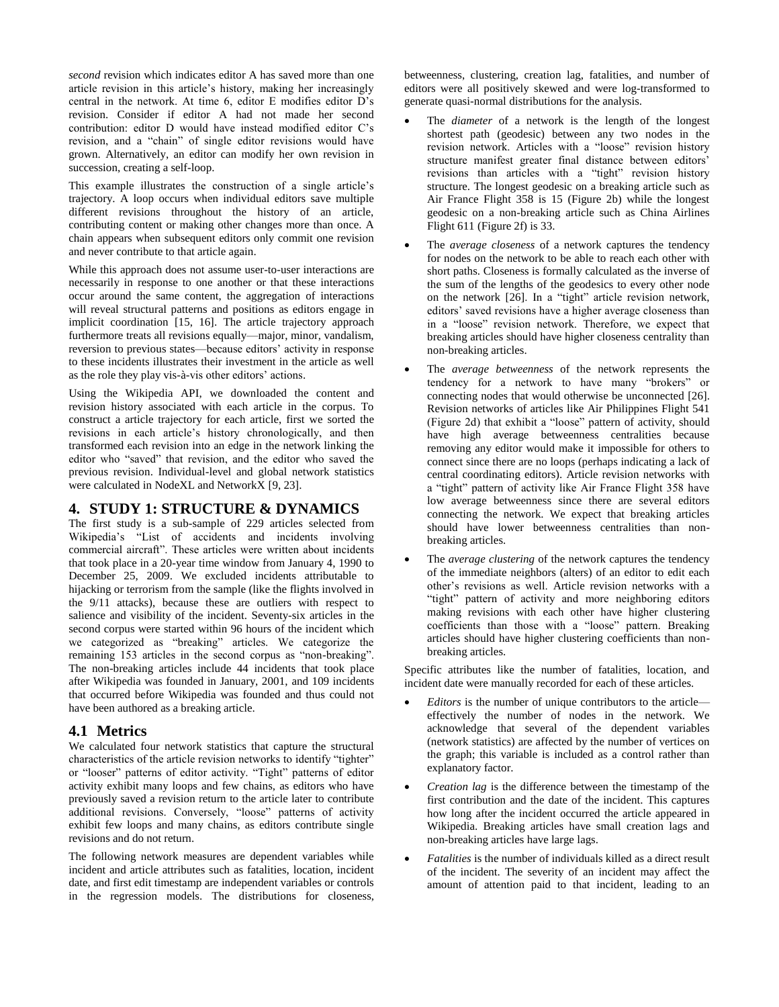*second* revision which indicates editor A has saved more than one article revision in this article's history, making her increasingly central in the network. At time 6, editor E modifies editor D's revision. Consider if editor A had not made her second contribution: editor D would have instead modified editor C's revision, and a "chain" of single editor revisions would have grown. Alternatively, an editor can modify her own revision in succession, creating a self-loop.

This example illustrates the construction of a single article's trajectory. A loop occurs when individual editors save multiple different revisions throughout the history of an article, contributing content or making other changes more than once. A chain appears when subsequent editors only commit one revision and never contribute to that article again.

While this approach does not assume user-to-user interactions are necessarily in response to one another or that these interactions occur around the same content, the aggregation of interactions will reveal structural patterns and positions as editors engage in implicit coordination [15, 16]. The article trajectory approach furthermore treats all revisions equally—major, minor, vandalism, reversion to previous states—because editors' activity in response to these incidents illustrates their investment in the article as well as the role they play vis-à-vis other editors' actions.

Using the Wikipedia API, we downloaded the content and revision history associated with each article in the corpus. To construct a article trajectory for each article, first we sorted the revisions in each article's history chronologically, and then transformed each revision into an edge in the network linking the editor who "saved" that revision, and the editor who saved the previous revision. Individual-level and global network statistics were calculated in NodeXL and NetworkX [9, 23].

# **4. STUDY 1: STRUCTURE & DYNAMICS**

The first study is a sub-sample of 229 articles selected from Wikipedia's "List of accidents and incidents involving commercial aircraft". These articles were written about incidents that took place in a 20-year time window from January 4, 1990 to December 25, 2009. We excluded incidents attributable to hijacking or terrorism from the sample (like the flights involved in the 9/11 attacks), because these are outliers with respect to salience and visibility of the incident. Seventy-six articles in the second corpus were started within 96 hours of the incident which we categorized as "breaking" articles. We categorize the remaining 153 articles in the second corpus as "non-breaking". The non-breaking articles include 44 incidents that took place after Wikipedia was founded in January, 2001, and 109 incidents that occurred before Wikipedia was founded and thus could not have been authored as a breaking article.

# **4.1 Metrics**

We calculated four network statistics that capture the structural characteristics of the article revision networks to identify "tighter" or "looser" patterns of editor activity. "Tight" patterns of editor activity exhibit many loops and few chains, as editors who have previously saved a revision return to the article later to contribute additional revisions. Conversely, "loose" patterns of activity exhibit few loops and many chains, as editors contribute single revisions and do not return.

The following network measures are dependent variables while incident and article attributes such as fatalities, location, incident date, and first edit timestamp are independent variables or controls in the regression models. The distributions for closeness,

betweenness, clustering, creation lag, fatalities, and number of editors were all positively skewed and were log-transformed to generate quasi-normal distributions for the analysis.

- The *diameter* of a network is the length of the longest shortest path (geodesic) between any two nodes in the revision network. Articles with a "loose" revision history structure manifest greater final distance between editors' revisions than articles with a "tight" revision history structure. The longest geodesic on a breaking article such as Air France Flight 358 is 15 (Figure 2b) while the longest geodesic on a non-breaking article such as China Airlines Flight 611 (Figure 2f) is 33.
- The *average closeness* of a network captures the tendency for nodes on the network to be able to reach each other with short paths. Closeness is formally calculated as the inverse of the sum of the lengths of the geodesics to every other node on the network [26]. In a "tight" article revision network, editors' saved revisions have a higher average closeness than in a "loose" revision network. Therefore, we expect that breaking articles should have higher closeness centrality than non-breaking articles.
- The *average betweenness* of the network represents the tendency for a network to have many "brokers" or connecting nodes that would otherwise be unconnected [26]. Revision networks of articles like Air Philippines Flight 541 (Figure 2d) that exhibit a "loose" pattern of activity, should have high average betweenness centralities because removing any editor would make it impossible for others to connect since there are no loops (perhaps indicating a lack of central coordinating editors). Article revision networks with a "tight" pattern of activity like Air France Flight 358 have low average betweenness since there are several editors connecting the network. We expect that breaking articles should have lower betweenness centralities than nonbreaking articles.
- The *average clustering* of the network captures the tendency of the immediate neighbors (alters) of an editor to edit each other's revisions as well. Article revision networks with a "tight" pattern of activity and more neighboring editors making revisions with each other have higher clustering coefficients than those with a "loose" pattern. Breaking articles should have higher clustering coefficients than nonbreaking articles.

Specific attributes like the number of fatalities, location, and incident date were manually recorded for each of these articles.

- *Editors* is the number of unique contributors to the article effectively the number of nodes in the network. We acknowledge that several of the dependent variables (network statistics) are affected by the number of vertices on the graph; this variable is included as a control rather than explanatory factor.
- *Creation lag* is the difference between the timestamp of the first contribution and the date of the incident. This captures how long after the incident occurred the article appeared in Wikipedia. Breaking articles have small creation lags and non-breaking articles have large lags.
- *Fatalities* is the number of individuals killed as a direct result of the incident. The severity of an incident may affect the amount of attention paid to that incident, leading to an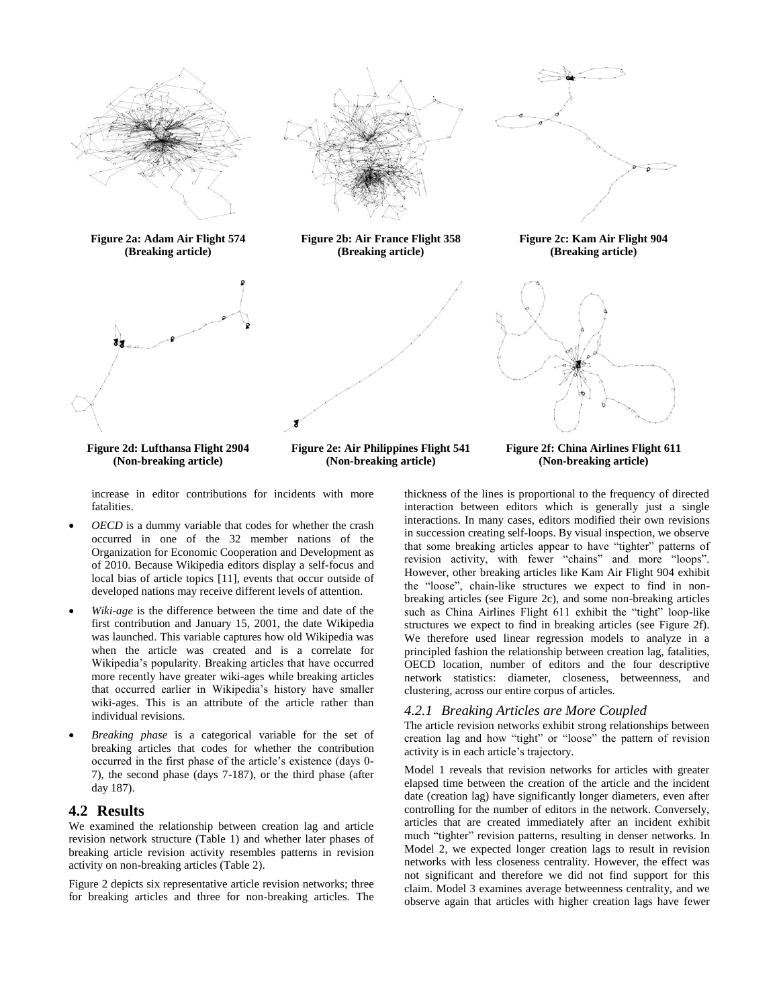

**(Non-breaking article)**

**(Non-breaking article)**

**(Non-breaking article)**

increase in editor contributions for incidents with more fatalities.

- *OECD* is a dummy variable that codes for whether the crash occurred in one of the 32 member nations of the Organization for Economic Cooperation and Development as of 2010. Because Wikipedia editors display a self-focus and local bias of article topics [11], events that occur outside of developed nations may receive different levels of attention.
- *Wiki-age* is the difference between the time and date of the first contribution and January 15, 2001, the date Wikipedia was launched. This variable captures how old Wikipedia was when the article was created and is a correlate for Wikipedia's popularity. Breaking articles that have occurred more recently have greater wiki-ages while breaking articles that occurred earlier in Wikipedia's history have smaller wiki-ages. This is an attribute of the article rather than individual revisions.
- *Breaking phase* is a categorical variable for the set of breaking articles that codes for whether the contribution occurred in the first phase of the article's existence (days 0- 7), the second phase (days 7-187), or the third phase (after day 187).

# **4.2 Results**

We examined the relationship between creation lag and article revision network structure (Table 1) and whether later phases of breaking article revision activity resembles patterns in revision activity on non-breaking articles (Table 2).

Figure 2 depicts six representative article revision networks; three for breaking articles and three for non-breaking articles. The thickness of the lines is proportional to the frequency of directed interaction between editors which is generally just a single interactions. In many cases, editors modified their own revisions in succession creating self-loops. By visual inspection, we observe that some breaking articles appear to have "tighter" patterns of revision activity, with fewer "chains" and more "loops". However, other breaking articles like Kam Air Flight 904 exhibit the "loose", chain-like structures we expect to find in nonbreaking articles (see Figure 2c), and some non-breaking articles such as China Airlines Flight 611 exhibit the "tight" loop-like structures we expect to find in breaking articles (see Figure 2f). We therefore used linear regression models to analyze in a principled fashion the relationship between creation lag, fatalities, OECD location, number of editors and the four descriptive network statistics: diameter, closeness, betweenness, and clustering, across our entire corpus of articles.

#### *4.2.1 Breaking Articles are More Coupled*

The article revision networks exhibit strong relationships between creation lag and how "tight" or "loose" the pattern of revision activity is in each article's trajectory.

Model 1 reveals that revision networks for articles with greater elapsed time between the creation of the article and the incident date (creation lag) have significantly longer diameters, even after controlling for the number of editors in the network. Conversely, articles that are created immediately after an incident exhibit much "tighter" revision patterns, resulting in denser networks. In Model 2, we expected longer creation lags to result in revision networks with less closeness centrality. However, the effect was not significant and therefore we did not find support for this claim. Model 3 examines average betweenness centrality, and we observe again that articles with higher creation lags have fewer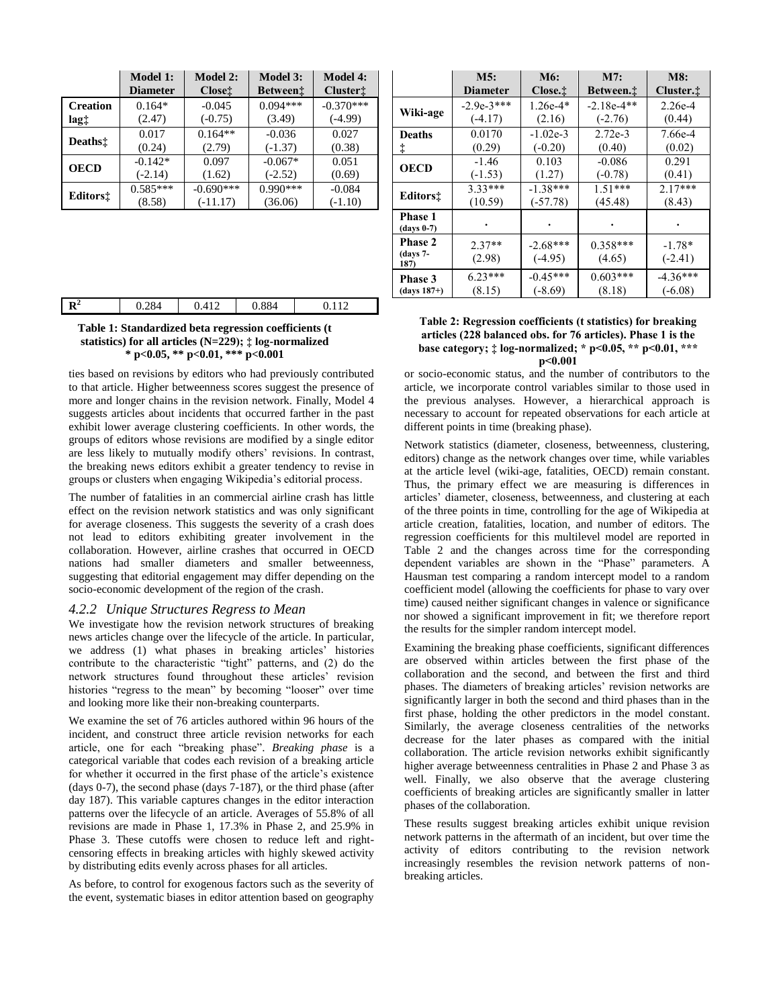|                 | <b>Model 1:</b> | Model 2:           | Model 3:   | Model 4:             |
|-----------------|-----------------|--------------------|------------|----------------------|
|                 | <b>Diameter</b> | Close <sup>†</sup> | Between:   | Cluster <sup>*</sup> |
| <b>Creation</b> | $0.164*$        | $-0.045$           | $0.094***$ | $-0.370***$          |
| $lag$ :         | (2.47)          | $(-0.75)$          | (3.49)     | $(-4.99)$            |
| Deaths:         | 0.017           | $0.164**$          | $-0.036$   | 0.027                |
|                 | (0.24)          | (2.79)             | $(-1.37)$  | (0.38)               |
| <b>OECD</b>     | $-0.142*$       | 0.097              | $-0.067*$  | 0.051                |
|                 | $(-2.14)$       | (1.62)             | $(-2.52)$  | (0.69)               |
| Editorst        | $0.585***$      | $-0.690***$        | $0.990***$ | $-0.084$             |
|                 | (8.58)          | $(-11.17)$         | (36.06)    | $(-1.10)$            |

| L<br>. .<br>к | $\cdot$ $-$ | $\ddot{\phantom{0}}$ | -<br>$\sim$ $\sim$ $\sim$ |
|---------------|-------------|----------------------|---------------------------|
|               |             |                      |                           |

#### **Table 1: Standardized beta regression coefficients (t statistics) for all articles (N=229); ‡ log-normalized \* p<0.05, \*\* p<0.01, \*\*\* p<0.001**

ties based on revisions by editors who had previously contributed to that article. Higher betweenness scores suggest the presence of more and longer chains in the revision network. Finally, Model 4 suggests articles about incidents that occurred farther in the past exhibit lower average clustering coefficients. In other words, the groups of editors whose revisions are modified by a single editor are less likely to mutually modify others' revisions. In contrast, the breaking news editors exhibit a greater tendency to revise in groups or clusters when engaging Wikipedia's editorial process.

The number of fatalities in an commercial airline crash has little effect on the revision network statistics and was only significant for average closeness. This suggests the severity of a crash does not lead to editors exhibiting greater involvement in the collaboration. However, airline crashes that occurred in OECD nations had smaller diameters and smaller betweenness, suggesting that editorial engagement may differ depending on the socio-economic development of the region of the crash.

## *4.2.2 Unique Structures Regress to Mean*

We investigate how the revision network structures of breaking news articles change over the lifecycle of the article. In particular, we address (1) what phases in breaking articles' histories contribute to the characteristic "tight" patterns, and (2) do the network structures found throughout these articles' revision histories "regress to the mean" by becoming "looser" over time and looking more like their non-breaking counterparts.

We examine the set of 76 articles authored within 96 hours of the incident, and construct three article revision networks for each article, one for each "breaking phase". *Breaking phase* is a categorical variable that codes each revision of a breaking article for whether it occurred in the first phase of the article's existence (days  $0-7$ ), the second phase (days  $7-187$ ), or the third phase (after day 187). This variable captures changes in the editor interaction patterns over the lifecycle of an article. Averages of 55.8% of all revisions are made in Phase 1, 17.3% in Phase 2, and 25.9% in Phase 3. These cutoffs were chosen to reduce left and rightcensoring effects in breaking articles with highly skewed activity by distributing edits evenly across phases for all articles.

As before, to control for exogenous factors such as the severity of the event, systematic biases in editor attention based on geography

| <b>Todel 4:</b><br>luster‡ |                             | M5:<br><b>Diameter</b>    | M6:<br>Close.            | M7:<br>Between. <sup>†</sup> | M8:<br>Cluster. <sup>†</sup> |
|----------------------------|-----------------------------|---------------------------|--------------------------|------------------------------|------------------------------|
| $0.370***$<br>$(-4.99)$    | Wiki-age                    | $-2.9e-3***$<br>$(-4.17)$ | $1.26e-4*$<br>(2.16)     | $-2.18e-4**$<br>$(-2.76)$    | $2.26e-4$<br>(0.44)          |
| 0.027<br>(0.38)            | <b>Deaths</b><br>ţ          | 0.0170<br>(0.29)          | $-1.02e-3$<br>$(-0.20)$  | $2.72e-3$<br>(0.40)          | 7.66e-4<br>(0.02)            |
| 0.051<br>(0.69)            | <b>OECD</b>                 | $-1.46$<br>$(-1.53)$      | 0.103<br>(1.27)          | $-0.086$<br>$(-0.78)$        | 0.291<br>(0.41)              |
| $-0.084$<br>$(-1.10)$      | Editors:                    | $3.33***$<br>(10.59)      | $-1.38***$<br>$(-57.78)$ | $1.51***$<br>(45.48)         | $2.17***$<br>(8.43)          |
|                            | Phase 1<br>$(days 0-7)$     |                           |                          |                              |                              |
|                            | Phase 2<br>(days 7-<br>187) | $2.37**$<br>(2.98)        | $-2.68***$<br>$(-4.95)$  | $0.358***$<br>(4.65)         | $-1.78*$<br>$(-2.41)$        |
|                            | Phase 3<br>$(days 187+)$    | $6.23***$<br>(8.15)       | $-0.45***$<br>$(-8.69)$  | $0.603***$<br>(8.18)         | $-4.36***$<br>$(-6.08)$      |

#### **Table 2: Regression coefficients (t statistics) for breaking articles (228 balanced obs. for 76 articles). Phase 1 is the base category; ‡ log-normalized; \* p<0.05, \*\* p<0.01, \*\*\* p<0.001**

or socio-economic status, and the number of contributors to the article, we incorporate control variables similar to those used in the previous analyses. However, a hierarchical approach is necessary to account for repeated observations for each article at different points in time (breaking phase).

Network statistics (diameter, closeness, betweenness, clustering, editors) change as the network changes over time, while variables at the article level (wiki-age, fatalities, OECD) remain constant. Thus, the primary effect we are measuring is differences in articles' diameter, closeness, betweenness, and clustering at each of the three points in time, controlling for the age of Wikipedia at article creation, fatalities, location, and number of editors. The regression coefficients for this multilevel model are reported in Table 2 and the changes across time for the corresponding dependent variables are shown in the "Phase" parameters. A Hausman test comparing a random intercept model to a random coefficient model (allowing the coefficients for phase to vary over time) caused neither significant changes in valence or significance nor showed a significant improvement in fit; we therefore report the results for the simpler random intercept model.

Examining the breaking phase coefficients, significant differences are observed within articles between the first phase of the collaboration and the second, and between the first and third phases. The diameters of breaking articles' revision networks are significantly larger in both the second and third phases than in the first phase, holding the other predictors in the model constant. Similarly, the average closeness centralities of the networks decrease for the later phases as compared with the initial collaboration. The article revision networks exhibit significantly higher average betweenness centralities in Phase 2 and Phase 3 as well. Finally, we also observe that the average clustering coefficients of breaking articles are significantly smaller in latter phases of the collaboration.

These results suggest breaking articles exhibit unique revision network patterns in the aftermath of an incident, but over time the activity of editors contributing to the revision network increasingly resembles the revision network patterns of nonbreaking articles.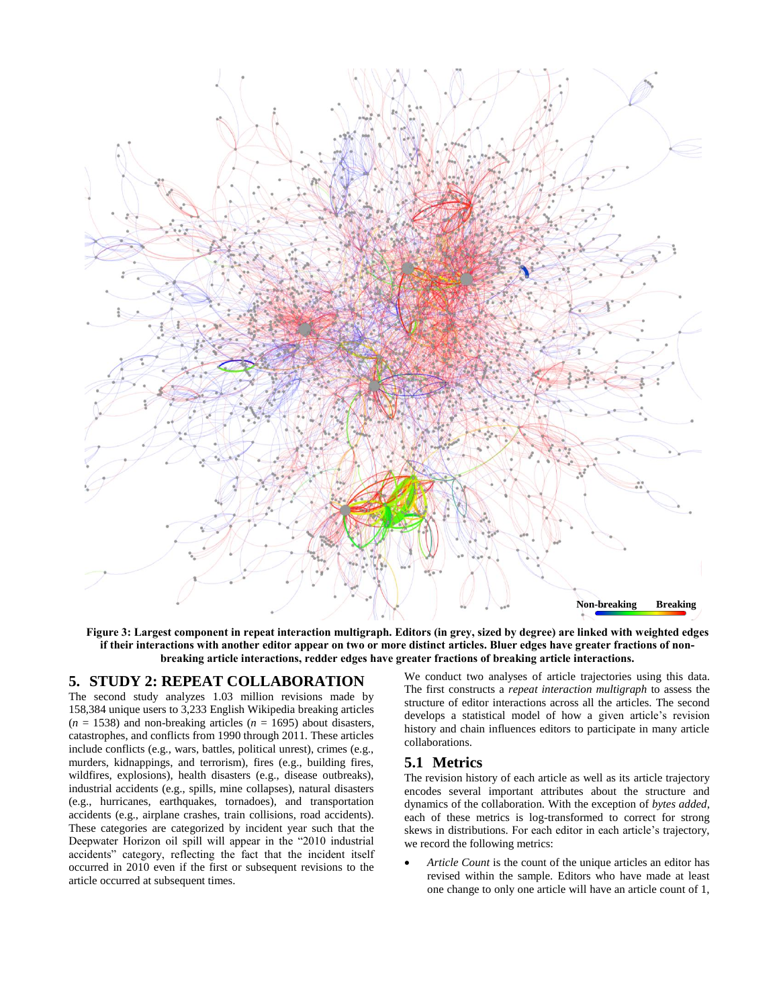

**Figure 3: Largest component in repeat interaction multigraph. Editors (in grey, sized by degree) are linked with weighted edges if their interactions with another editor appear on two or more distinct articles. Bluer edges have greater fractions of nonbreaking article interactions, redder edges have greater fractions of breaking article interactions.** 

# **5. STUDY 2: REPEAT COLLABORATION**

The second study analyzes 1.03 million revisions made by 158,384 unique users to 3,233 English Wikipedia breaking articles  $(n = 1538)$  and non-breaking articles  $(n = 1695)$  about disasters, catastrophes, and conflicts from 1990 through 2011. These articles include conflicts (e.g., wars, battles, political unrest), crimes (e.g., murders, kidnappings, and terrorism), fires (e.g., building fires, wildfires, explosions), health disasters (e.g., disease outbreaks), industrial accidents (e.g., spills, mine collapses), natural disasters (e.g., hurricanes, earthquakes, tornadoes), and transportation accidents (e.g., airplane crashes, train collisions, road accidents). These categories are categorized by incident year such that the Deepwater Horizon oil spill will appear in the "2010 industrial accidents" category, reflecting the fact that the incident itself occurred in 2010 even if the first or subsequent revisions to the article occurred at subsequent times.

We conduct two analyses of article trajectories using this data. The first constructs a *repeat interaction multigraph* to assess the structure of editor interactions across all the articles. The second develops a statistical model of how a given article's revision history and chain influences editors to participate in many article collaborations.

# **5.1 Metrics**

The revision history of each article as well as its article trajectory encodes several important attributes about the structure and dynamics of the collaboration. With the exception of *bytes added*, each of these metrics is log-transformed to correct for strong skews in distributions. For each editor in each article's trajectory, we record the following metrics:

*Article Count* is the count of the unique articles an editor has revised within the sample. Editors who have made at least one change to only one article will have an article count of 1,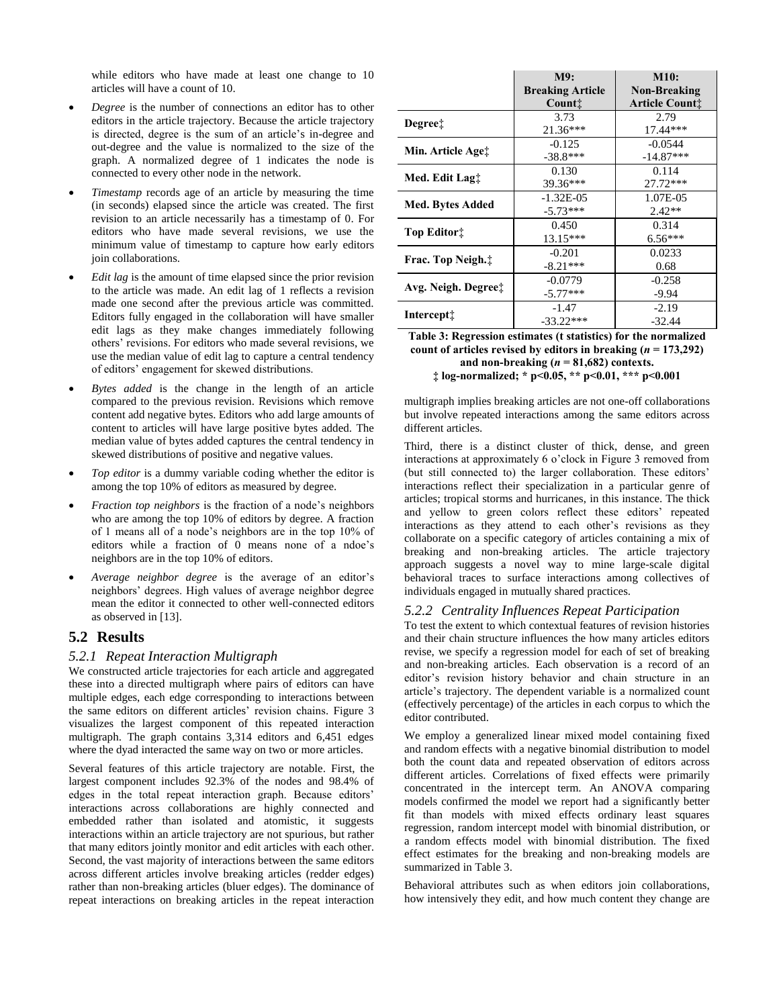while editors who have made at least one change to 10 articles will have a count of 10.

- *Degree* is the number of connections an editor has to other editors in the article trajectory. Because the article trajectory is directed, degree is the sum of an article's in-degree and out-degree and the value is normalized to the size of the graph. A normalized degree of 1 indicates the node is connected to every other node in the network.
- *Timestamp* records age of an article by measuring the time (in seconds) elapsed since the article was created. The first revision to an article necessarily has a timestamp of 0. For editors who have made several revisions, we use the minimum value of timestamp to capture how early editors join collaborations.
- *Edit lag* is the amount of time elapsed since the prior revision to the article was made. An edit lag of 1 reflects a revision made one second after the previous article was committed. Editors fully engaged in the collaboration will have smaller edit lags as they make changes immediately following others' revisions. For editors who made several revisions, we use the median value of edit lag to capture a central tendency of editors' engagement for skewed distributions.
- *Bytes added* is the change in the length of an article compared to the previous revision. Revisions which remove content add negative bytes. Editors who add large amounts of content to articles will have large positive bytes added. The median value of bytes added captures the central tendency in skewed distributions of positive and negative values.
- *Top editor* is a dummy variable coding whether the editor is among the top 10% of editors as measured by degree.
- *Fraction top neighbors* is the fraction of a node's neighbors who are among the top 10% of editors by degree. A fraction of 1 means all of a node's neighbors are in the top 10% of editors while a fraction of 0 means none of a ndoe's neighbors are in the top 10% of editors.
- *Average neighbor degree* is the average of an editor's neighbors' degrees. High values of average neighbor degree mean the editor it connected to other well-connected editors as observed in [13].

## **5.2 Results**

## *5.2.1 Repeat Interaction Multigraph*

We constructed article trajectories for each article and aggregated these into a directed multigraph where pairs of editors can have multiple edges, each edge corresponding to interactions between the same editors on different articles' revision chains. Figure 3 visualizes the largest component of this repeated interaction multigraph. The graph contains 3,314 editors and 6,451 edges where the dyad interacted the same way on two or more articles.

Several features of this article trajectory are notable. First, the largest component includes 92.3% of the nodes and 98.4% of edges in the total repeat interaction graph. Because editors' interactions across collaborations are highly connected and embedded rather than isolated and atomistic, it suggests interactions within an article trajectory are not spurious, but rather that many editors jointly monitor and edit articles with each other. Second, the vast majority of interactions between the same editors across different articles involve breaking articles (redder edges) rather than non-breaking articles (bluer edges). The dominance of repeat interactions on breaking articles in the repeat interaction

|                                 | M9:                     | M10:                  |
|---------------------------------|-------------------------|-----------------------|
|                                 | <b>Breaking Article</b> | <b>Non-Breaking</b>   |
|                                 | Countt                  | <b>Article Count:</b> |
| Degree <sup>+</sup>             | 3.73                    | 2.79                  |
|                                 | $21.36***$              | 17.44***              |
|                                 | $-0.125$                | $-0.0544$             |
| Min. Article Age <sup>+</sup>   | $-38.8***$              | $-14.87***$           |
|                                 | 0.130                   | 0.114                 |
| Med. Edit Lag <sup>+</sup>      | 39.36***                | 27.72***              |
|                                 | -1.32E-05               | 1.07E-05              |
| <b>Med. Bytes Added</b>         | $-5.73***$              | $2.42**$              |
|                                 | 0.450                   | 0.314                 |
| Top Editor <sup>†</sup>         | $13.15***$              | $6.56***$             |
|                                 | $-0.201$                | 0.0233                |
| Frac. Top Neigh.                | $-8.21***$              | 0.68                  |
|                                 | $-0.0779$               | $-0.258$              |
| Avg. Neigh. Degree <sup>†</sup> | $-5.77***$              | $-9.94$               |
|                                 | $-1.47$                 | $-2.19$               |
| Intercept <sup>+</sup>          | $-33.22***$             | $-32.44$              |

**Table 3: Regression estimates (t statistics) for the normalized count of articles revised by editors in breaking**  $(n = 173,292)$ and non-breaking  $(n = 81,682)$  contexts. **‡ log-normalized; \* p<0.05, \*\* p<0.01, \*\*\* p<0.001**

multigraph implies breaking articles are not one-off collaborations but involve repeated interactions among the same editors across different articles.

Third, there is a distinct cluster of thick, dense, and green interactions at approximately 6 o'clock in Figure 3 removed from (but still connected to) the larger collaboration. These editors' interactions reflect their specialization in a particular genre of articles; tropical storms and hurricanes, in this instance. The thick and yellow to green colors reflect these editors' repeated interactions as they attend to each other's revisions as they collaborate on a specific category of articles containing a mix of breaking and non-breaking articles. The article trajectory approach suggests a novel way to mine large-scale digital behavioral traces to surface interactions among collectives of individuals engaged in mutually shared practices.

## *5.2.2 Centrality Influences Repeat Participation*

To test the extent to which contextual features of revision histories and their chain structure influences the how many articles editors revise, we specify a regression model for each of set of breaking and non-breaking articles. Each observation is a record of an editor's revision history behavior and chain structure in an article's trajectory. The dependent variable is a normalized count (effectively percentage) of the articles in each corpus to which the editor contributed.

We employ a generalized linear mixed model containing fixed and random effects with a negative binomial distribution to model both the count data and repeated observation of editors across different articles. Correlations of fixed effects were primarily concentrated in the intercept term. An ANOVA comparing models confirmed the model we report had a significantly better fit than models with mixed effects ordinary least squares regression, random intercept model with binomial distribution, or a random effects model with binomial distribution. The fixed effect estimates for the breaking and non-breaking models are summarized in Table 3.

Behavioral attributes such as when editors join collaborations, how intensively they edit, and how much content they change are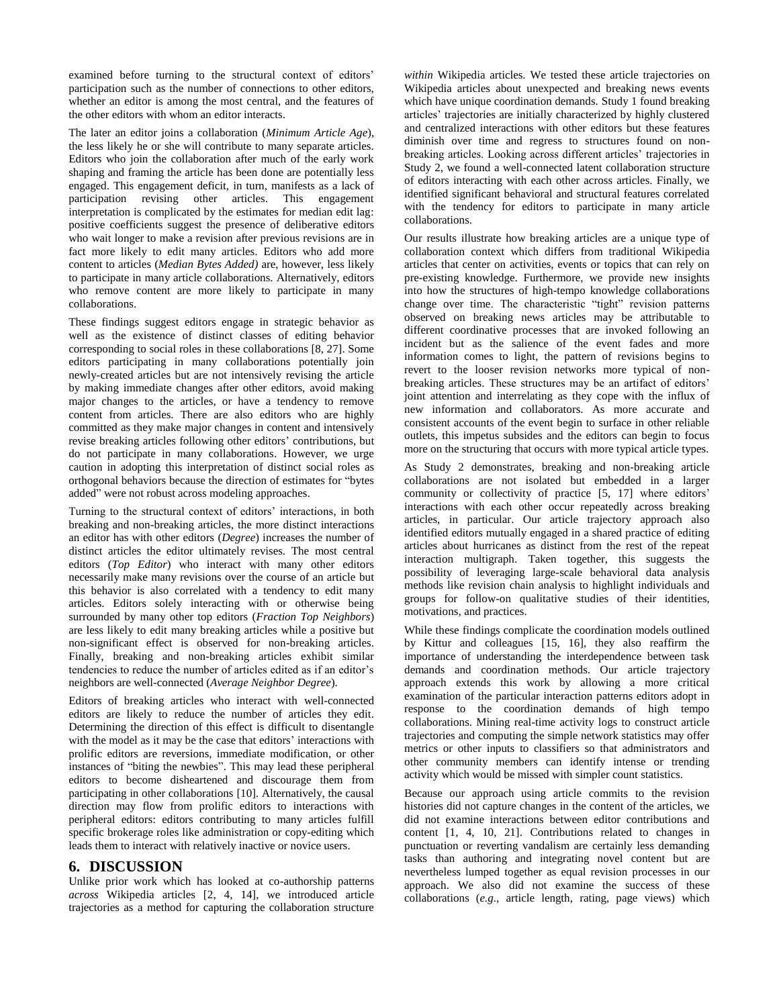examined before turning to the structural context of editors' participation such as the number of connections to other editors, whether an editor is among the most central, and the features of the other editors with whom an editor interacts.

The later an editor joins a collaboration (*Minimum Article Age*), the less likely he or she will contribute to many separate articles. Editors who join the collaboration after much of the early work shaping and framing the article has been done are potentially less engaged. This engagement deficit, in turn, manifests as a lack of participation revising other articles. This engagement interpretation is complicated by the estimates for median edit lag: positive coefficients suggest the presence of deliberative editors who wait longer to make a revision after previous revisions are in fact more likely to edit many articles. Editors who add more content to articles (*Median Bytes Added)* are, however, less likely to participate in many article collaborations. Alternatively, editors who remove content are more likely to participate in many collaborations.

These findings suggest editors engage in strategic behavior as well as the existence of distinct classes of editing behavior corresponding to social roles in these collaborations [8, 27]. Some editors participating in many collaborations potentially join newly-created articles but are not intensively revising the article by making immediate changes after other editors, avoid making major changes to the articles, or have a tendency to remove content from articles. There are also editors who are highly committed as they make major changes in content and intensively revise breaking articles following other editors' contributions, but do not participate in many collaborations. However, we urge caution in adopting this interpretation of distinct social roles as orthogonal behaviors because the direction of estimates for "bytes added" were not robust across modeling approaches.

Turning to the structural context of editors' interactions, in both breaking and non-breaking articles, the more distinct interactions an editor has with other editors (*Degree*) increases the number of distinct articles the editor ultimately revises. The most central editors (*Top Editor*) who interact with many other editors necessarily make many revisions over the course of an article but this behavior is also correlated with a tendency to edit many articles. Editors solely interacting with or otherwise being surrounded by many other top editors (*Fraction Top Neighbors*) are less likely to edit many breaking articles while a positive but non-significant effect is observed for non-breaking articles. Finally, breaking and non-breaking articles exhibit similar tendencies to reduce the number of articles edited as if an editor's neighbors are well-connected (*Average Neighbor Degree*).

Editors of breaking articles who interact with well-connected editors are likely to reduce the number of articles they edit. Determining the direction of this effect is difficult to disentangle with the model as it may be the case that editors' interactions with prolific editors are reversions, immediate modification, or other instances of "biting the newbies". This may lead these peripheral editors to become disheartened and discourage them from participating in other collaborations [10]. Alternatively, the causal direction may flow from prolific editors to interactions with peripheral editors: editors contributing to many articles fulfill specific brokerage roles like administration or copy-editing which leads them to interact with relatively inactive or novice users.

# **6. DISCUSSION**

Unlike prior work which has looked at co-authorship patterns *across* Wikipedia articles [2, 4, 14], we introduced article trajectories as a method for capturing the collaboration structure *within* Wikipedia articles. We tested these article trajectories on Wikipedia articles about unexpected and breaking news events which have unique coordination demands. Study 1 found breaking articles' trajectories are initially characterized by highly clustered and centralized interactions with other editors but these features diminish over time and regress to structures found on nonbreaking articles. Looking across different articles' trajectories in Study 2, we found a well-connected latent collaboration structure of editors interacting with each other across articles. Finally, we identified significant behavioral and structural features correlated with the tendency for editors to participate in many article collaborations.

Our results illustrate how breaking articles are a unique type of collaboration context which differs from traditional Wikipedia articles that center on activities, events or topics that can rely on pre-existing knowledge. Furthermore, we provide new insights into how the structures of high-tempo knowledge collaborations change over time. The characteristic "tight" revision patterns observed on breaking news articles may be attributable to different coordinative processes that are invoked following an incident but as the salience of the event fades and more information comes to light, the pattern of revisions begins to revert to the looser revision networks more typical of nonbreaking articles. These structures may be an artifact of editors' joint attention and interrelating as they cope with the influx of new information and collaborators. As more accurate and consistent accounts of the event begin to surface in other reliable outlets, this impetus subsides and the editors can begin to focus more on the structuring that occurs with more typical article types.

As Study 2 demonstrates, breaking and non-breaking article collaborations are not isolated but embedded in a larger community or collectivity of practice [5, 17] where editors' interactions with each other occur repeatedly across breaking articles, in particular. Our article trajectory approach also identified editors mutually engaged in a shared practice of editing articles about hurricanes as distinct from the rest of the repeat interaction multigraph. Taken together, this suggests the possibility of leveraging large-scale behavioral data analysis methods like revision chain analysis to highlight individuals and groups for follow-on qualitative studies of their identities, motivations, and practices.

While these findings complicate the coordination models outlined by Kittur and colleagues [15, 16], they also reaffirm the importance of understanding the interdependence between task demands and coordination methods. Our article trajectory approach extends this work by allowing a more critical examination of the particular interaction patterns editors adopt in response to the coordination demands of high tempo collaborations. Mining real-time activity logs to construct article trajectories and computing the simple network statistics may offer metrics or other inputs to classifiers so that administrators and other community members can identify intense or trending activity which would be missed with simpler count statistics.

Because our approach using article commits to the revision histories did not capture changes in the content of the articles, we did not examine interactions between editor contributions and content [1, 4, 10, 21]. Contributions related to changes in punctuation or reverting vandalism are certainly less demanding tasks than authoring and integrating novel content but are nevertheless lumped together as equal revision processes in our approach. We also did not examine the success of these collaborations (*e.g.*, article length, rating, page views) which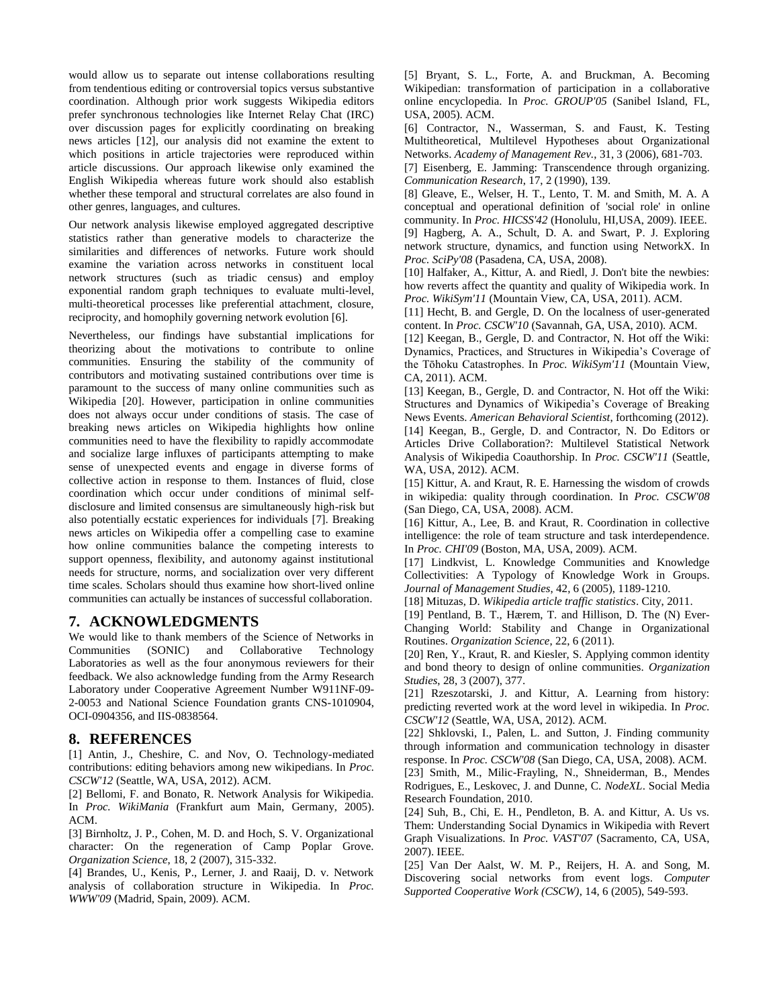would allow us to separate out intense collaborations resulting from tendentious editing or controversial topics versus substantive coordination. Although prior work suggests Wikipedia editors prefer synchronous technologies like Internet Relay Chat (IRC) over discussion pages for explicitly coordinating on breaking news articles [12], our analysis did not examine the extent to which positions in article trajectories were reproduced within article discussions. Our approach likewise only examined the English Wikipedia whereas future work should also establish whether these temporal and structural correlates are also found in other genres, languages, and cultures.

Our network analysis likewise employed aggregated descriptive statistics rather than generative models to characterize the similarities and differences of networks. Future work should examine the variation across networks in constituent local network structures (such as triadic census) and employ exponential random graph techniques to evaluate multi-level, multi-theoretical processes like preferential attachment, closure, reciprocity, and homophily governing network evolution [6].

Nevertheless, our findings have substantial implications for theorizing about the motivations to contribute to online communities. Ensuring the stability of the community of contributors and motivating sustained contributions over time is paramount to the success of many online communities such as Wikipedia [20]. However, participation in online communities does not always occur under conditions of stasis. The case of breaking news articles on Wikipedia highlights how online communities need to have the flexibility to rapidly accommodate and socialize large influxes of participants attempting to make sense of unexpected events and engage in diverse forms of collective action in response to them. Instances of fluid, close coordination which occur under conditions of minimal selfdisclosure and limited consensus are simultaneously high-risk but also potentially ecstatic experiences for individuals [7]. Breaking news articles on Wikipedia offer a compelling case to examine how online communities balance the competing interests to support openness, flexibility, and autonomy against institutional needs for structure, norms, and socialization over very different time scales. Scholars should thus examine how short-lived online communities can actually be instances of successful collaboration.

# **7. ACKNOWLEDGMENTS**

We would like to thank members of the Science of Networks in Communities (SONIC) and Collaborative Technology Laboratories as well as the four anonymous reviewers for their feedback. We also acknowledge funding from the Army Research Laboratory under Cooperative Agreement Number W911NF-09- 2-0053 and National Science Foundation grants CNS-1010904, OCI-0904356, and IIS-0838564.

## **8. REFERENCES**

[1] Antin, J., Cheshire, C. and Nov, O. Technology-mediated contributions: editing behaviors among new wikipedians. In *Proc. CSCW'12* (Seattle, WA, USA, 2012). ACM.

[2] Bellomi, F. and Bonato, R. Network Analysis for Wikipedia. In *Proc. WikiMania* (Frankfurt aum Main, Germany, 2005). ACM.

[3] Birnholtz, J. P., Cohen, M. D. and Hoch, S. V. Organizational character: On the regeneration of Camp Poplar Grove. *Organization Science*, 18, 2 (2007), 315-332.

[4] Brandes, U., Kenis, P., Lerner, J. and Raaij, D. v. Network analysis of collaboration structure in Wikipedia. In *Proc. WWW'09* (Madrid, Spain, 2009). ACM.

[5] Bryant, S. L., Forte, A. and Bruckman, A. Becoming Wikipedian: transformation of participation in a collaborative online encyclopedia. In *Proc. GROUP'05* (Sanibel Island, FL, USA, 2005). ACM.

[6] Contractor, N., Wasserman, S. and Faust, K. Testing Multitheoretical, Multilevel Hypotheses about Organizational Networks. *Academy of Management Rev.*, 31, 3 (2006), 681-703.

[7] Eisenberg, E. Jamming: Transcendence through organizing. *Communication Research*, 17, 2 (1990), 139.

[8] Gleave, E., Welser, H. T., Lento, T. M. and Smith, M. A. A conceptual and operational definition of 'social role' in online community. In *Proc. HICSS'42* (Honolulu, HI,USA, 2009). IEEE.

[9] Hagberg, A. A., Schult, D. A. and Swart, P. J. Exploring network structure, dynamics, and function using NetworkX. In *Proc. SciPy'08* (Pasadena, CA, USA, 2008).

[10] Halfaker, A., Kittur, A. and Riedl, J. Don't bite the newbies: how reverts affect the quantity and quality of Wikipedia work. In *Proc. WikiSym'11* (Mountain View, CA, USA, 2011). ACM.

[11] Hecht, B. and Gergle, D. On the localness of user-generated content. In *Proc. CSCW'10* (Savannah, GA, USA, 2010). ACM.

[12] Keegan, B., Gergle, D. and Contractor, N. Hot off the Wiki: Dynamics, Practices, and Structures in Wikipedia's Coverage of the Tōhoku Catastrophes. In *Proc. WikiSym'11* (Mountain View, CA, 2011). ACM.

[13] Keegan, B., Gergle, D. and Contractor, N. Hot off the Wiki: Structures and Dynamics of Wikipedia's Coverage of Breaking News Events. *American Behavioral Scientist*, forthcoming (2012). [14] Keegan, B., Gergle, D. and Contractor, N. Do Editors or Articles Drive Collaboration?: Multilevel Statistical Network Analysis of Wikipedia Coauthorship. In *Proc. CSCW'11* (Seattle, WA, USA, 2012). ACM.

[15] Kittur, A. and Kraut, R. E. Harnessing the wisdom of crowds in wikipedia: quality through coordination. In *Proc. CSCW'08* (San Diego, CA, USA, 2008). ACM.

[16] Kittur, A., Lee, B. and Kraut, R. Coordination in collective intelligence: the role of team structure and task interdependence. In *Proc. CHI'09* (Boston, MA, USA, 2009). ACM.

[17] Lindkvist, L. Knowledge Communities and Knowledge Collectivities: A Typology of Knowledge Work in Groups. *Journal of Management Studies*, 42, 6 (2005), 1189-1210.

[18] Mituzas, D. *Wikipedia article traffic statistics*. City, 2011.

[19] Pentland, B. T., Hærem, T. and Hillison, D. The (N) Ever-Changing World: Stability and Change in Organizational Routines. *Organization Science*, 22, 6 (2011).

[20] Ren, Y., Kraut, R. and Kiesler, S. Applying common identity and bond theory to design of online communities. *Organization Studies*, 28, 3 (2007), 377.

[21] Rzeszotarski, J. and Kittur, A. Learning from history: predicting reverted work at the word level in wikipedia. In *Proc. CSCW'12* (Seattle, WA, USA, 2012). ACM.

[22] Shklovski, I., Palen, L. and Sutton, J. Finding community through information and communication technology in disaster response. In *Proc. CSCW'08* (San Diego, CA, USA, 2008). ACM. [23] Smith, M., Milic-Frayling, N., Shneiderman, B., Mendes Rodrigues, E., Leskovec, J. and Dunne, C. *NodeXL*. Social Media Research Foundation, 2010.

[24] Suh, B., Chi, E. H., Pendleton, B. A. and Kittur, A. Us vs. Them: Understanding Social Dynamics in Wikipedia with Revert Graph Visualizations. In *Proc. VAST'07* (Sacramento, CA, USA, 2007). IEEE.

[25] Van Der Aalst, W. M. P., Reijers, H. A. and Song, M. Discovering social networks from event logs. *Computer Supported Cooperative Work (CSCW)*, 14, 6 (2005), 549-593.